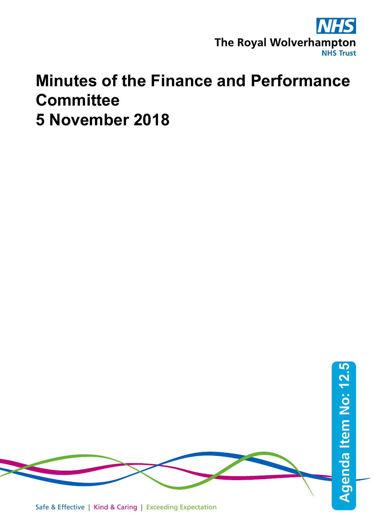

## **Minutes of the Finance and Performance Committee 5 November 2018**

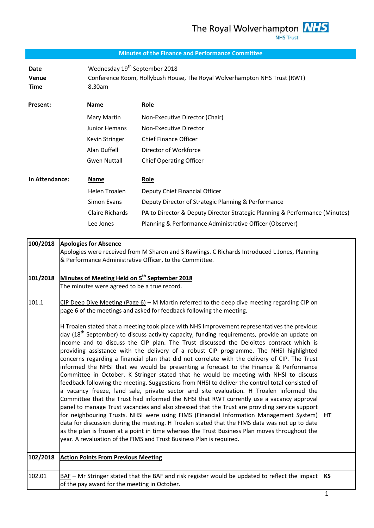## **Minutes of the Finance and Performance Committee**

Date Wednesday 19<sup>th</sup> September 2018 **Venue** Conference Room, Hollybush House, The Royal Wolverhampton NHS Trust (RWT) **Time** 8.30am

| Present: | Name                | Role                           |
|----------|---------------------|--------------------------------|
|          | Mary Martin         | Non-Executive Director (Chair) |
|          | Junior Hemans       | Non-Executive Director         |
|          | Kevin Stringer      | <b>Chief Finance Officer</b>   |
|          | Alan Duffell        | Director of Workforce          |
|          | <b>Gwen Nuttall</b> | <b>Chief Operating Officer</b> |
|          |                     |                                |

| In Attendance: | Name            | Role                                                                        |
|----------------|-----------------|-----------------------------------------------------------------------------|
|                | Helen Troalen   | Deputy Chief Financial Officer                                              |
|                | Simon Evans     | Deputy Director of Strategic Planning & Performance                         |
|                | Claire Richards | PA to Director & Deputy Director Strategic Planning & Performance (Minutes) |
|                | Lee Jones       | Planning & Performance Administrative Officer (Observer)                    |

| 100/2018 | <b>Apologies for Absence</b><br>Apologies were received from M Sharon and S Rawlings. C Richards Introduced L Jones, Planning<br>& Performance Administrative Officer, to the Committee.                                                                                                                                                                                                                                                                                                                                                                                                                                                                                                                                                                                                                                                                                                                                                                                                                                                                                                                                                                                                                                                                                                                                                                                                                                                             |    |
|----------|------------------------------------------------------------------------------------------------------------------------------------------------------------------------------------------------------------------------------------------------------------------------------------------------------------------------------------------------------------------------------------------------------------------------------------------------------------------------------------------------------------------------------------------------------------------------------------------------------------------------------------------------------------------------------------------------------------------------------------------------------------------------------------------------------------------------------------------------------------------------------------------------------------------------------------------------------------------------------------------------------------------------------------------------------------------------------------------------------------------------------------------------------------------------------------------------------------------------------------------------------------------------------------------------------------------------------------------------------------------------------------------------------------------------------------------------------|----|
| 101/2018 | Minutes of Meeting Held on 5 <sup>th</sup> September 2018                                                                                                                                                                                                                                                                                                                                                                                                                                                                                                                                                                                                                                                                                                                                                                                                                                                                                                                                                                                                                                                                                                                                                                                                                                                                                                                                                                                            |    |
|          | The minutes were agreed to be a true record.                                                                                                                                                                                                                                                                                                                                                                                                                                                                                                                                                                                                                                                                                                                                                                                                                                                                                                                                                                                                                                                                                                                                                                                                                                                                                                                                                                                                         |    |
| 101.1    | CIP Deep Dive Meeting (Page $6$ ) - M Martin referred to the deep dive meeting regarding CIP on<br>page 6 of the meetings and asked for feedback following the meeting.                                                                                                                                                                                                                                                                                                                                                                                                                                                                                                                                                                                                                                                                                                                                                                                                                                                                                                                                                                                                                                                                                                                                                                                                                                                                              |    |
|          | H Troalen stated that a meeting took place with NHS Improvement representatives the previous<br>day (18 <sup>th</sup> September) to discuss activity capacity, funding requirements, provide an update on<br>income and to discuss the CIP plan. The Trust discussed the Deloittes contract which is<br>providing assistance with the delivery of a robust CIP programme. The NHSI highlighted<br>concerns regarding a financial plan that did not correlate with the delivery of CIP. The Trust<br>informed the NHSI that we would be presenting a forecast to the Finance & Performance<br>Committee in October. K Stringer stated that he would be meeting with NHSI to discuss<br>feedback following the meeting. Suggestions from NHSI to deliver the control total consisted of<br>a vacancy freeze, land sale, private sector and site evaluation. H Troalen informed the<br>Committee that the Trust had informed the NHSI that RWT currently use a vacancy approval<br>panel to manage Trust vacancies and also stressed that the Trust are providing service support<br>for neighbouring Trusts. NHSI were using FIMS (Financial Information Management System)<br>data for discussion during the meeting. H Troalen stated that the FIMS data was not up to date<br>as the plan is frozen at a point in time whereas the Trust Business Plan moves throughout the<br>year. A revaluation of the FIMS and Trust Business Plan is required. | НT |
| 102/2018 | <b>Action Points From Previous Meeting</b>                                                                                                                                                                                                                                                                                                                                                                                                                                                                                                                                                                                                                                                                                                                                                                                                                                                                                                                                                                                                                                                                                                                                                                                                                                                                                                                                                                                                           |    |
| 102.01   | BAF - Mr Stringer stated that the BAF and risk register would be updated to reflect the impact                                                                                                                                                                                                                                                                                                                                                                                                                                                                                                                                                                                                                                                                                                                                                                                                                                                                                                                                                                                                                                                                                                                                                                                                                                                                                                                                                       | KS |
|          | of the pay award for the meeting in October.                                                                                                                                                                                                                                                                                                                                                                                                                                                                                                                                                                                                                                                                                                                                                                                                                                                                                                                                                                                                                                                                                                                                                                                                                                                                                                                                                                                                         |    |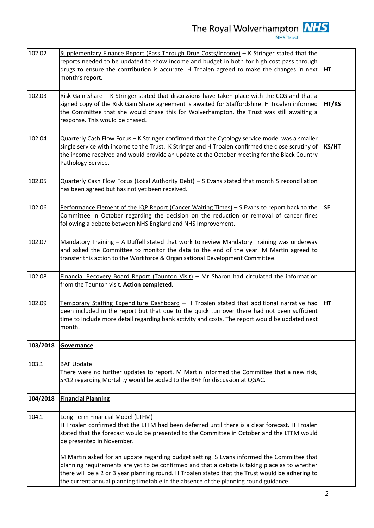| 102.02   | Supplementary Finance Report (Pass Through Drug Costs/Income) - K Stringer stated that the<br>reports needed to be updated to show income and budget in both for high cost pass through<br>drugs to ensure the contribution is accurate. H Troalen agreed to make the changes in next<br>month's report.                                                                                |           |  |  |
|----------|-----------------------------------------------------------------------------------------------------------------------------------------------------------------------------------------------------------------------------------------------------------------------------------------------------------------------------------------------------------------------------------------|-----------|--|--|
| 102.03   | Risk Gain Share - K Stringer stated that discussions have taken place with the CCG and that a<br>signed copy of the Risk Gain Share agreement is awaited for Staffordshire. H Troalen informed<br>HT/KS<br>the Committee that she would chase this for Wolverhampton, the Trust was still awaiting a<br>response. This would be chased.                                                 |           |  |  |
| 102.04   | Quarterly Cash Flow Focus - K Stringer confirmed that the Cytology service model was a smaller<br>single service with income to the Trust. K Stringer and H Troalen confirmed the close scrutiny of<br>the income received and would provide an update at the October meeting for the Black Country<br>Pathology Service.                                                               | KS/HT     |  |  |
| 102.05   | Quarterly Cash Flow Focus (Local Authority Debt) - S Evans stated that month 5 reconciliation<br>has been agreed but has not yet been received.                                                                                                                                                                                                                                         |           |  |  |
| 102.06   | Performance Element of the IQP Report (Cancer Waiting Times) - S Evans to report back to the<br>Committee in October regarding the decision on the reduction or removal of cancer fines<br>following a debate between NHS England and NHS Improvement.                                                                                                                                  | <b>SE</b> |  |  |
| 102.07   | Mandatory Training - A Duffell stated that work to review Mandatory Training was underway<br>and asked the Committee to monitor the data to the end of the year. M Martin agreed to<br>transfer this action to the Workforce & Organisational Development Committee.                                                                                                                    |           |  |  |
| 102.08   | Financial Recovery Board Report (Taunton Visit) - Mr Sharon had circulated the information<br>from the Taunton visit. Action completed.                                                                                                                                                                                                                                                 |           |  |  |
| 102.09   | Temporary Staffing Expenditure Dashboard - H Troalen stated that additional narrative had<br>been included in the report but that due to the quick turnover there had not been sufficient<br>time to include more detail regarding bank activity and costs. The report would be updated next<br>month.                                                                                  | HT        |  |  |
| 103/2018 | Governance                                                                                                                                                                                                                                                                                                                                                                              |           |  |  |
| 103.1    | <b>BAF Update</b><br>There were no further updates to report. M Martin informed the Committee that a new risk,<br>SR12 regarding Mortality would be added to the BAF for discussion at QGAC.                                                                                                                                                                                            |           |  |  |
| 104/2018 | <b>Financial Planning</b>                                                                                                                                                                                                                                                                                                                                                               |           |  |  |
| 104.1    | <b>Long Term Financial Model (LTFM)</b><br>H Troalen confirmed that the LTFM had been deferred until there is a clear forecast. H Troalen<br>stated that the forecast would be presented to the Committee in October and the LTFM would<br>be presented in November.                                                                                                                    |           |  |  |
|          | M Martin asked for an update regarding budget setting. S Evans informed the Committee that<br>planning requirements are yet to be confirmed and that a debate is taking place as to whether<br>there will be a 2 or 3 year planning round. H Troalen stated that the Trust would be adhering to<br>the current annual planning timetable in the absence of the planning round guidance. |           |  |  |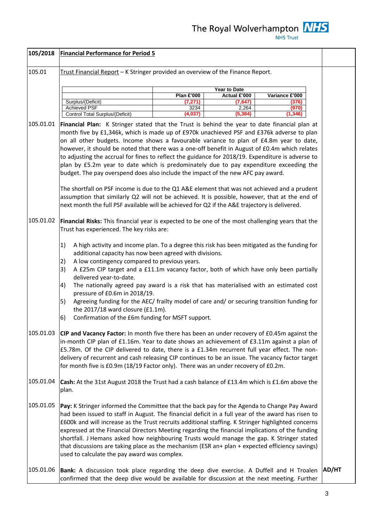| 105/2018  | <b>Financial Performance for Period 5</b>                                                                                                                                                                                                                                                                                                                                                                                                                                                                                                                                                                                                                                                                                                  |                   |                              |                |              |  |
|-----------|--------------------------------------------------------------------------------------------------------------------------------------------------------------------------------------------------------------------------------------------------------------------------------------------------------------------------------------------------------------------------------------------------------------------------------------------------------------------------------------------------------------------------------------------------------------------------------------------------------------------------------------------------------------------------------------------------------------------------------------------|-------------------|------------------------------|----------------|--------------|--|
| 105.01    | Trust Financial Report - K Stringer provided an overview of the Finance Report.                                                                                                                                                                                                                                                                                                                                                                                                                                                                                                                                                                                                                                                            |                   |                              |                |              |  |
|           |                                                                                                                                                                                                                                                                                                                                                                                                                                                                                                                                                                                                                                                                                                                                            |                   |                              |                |              |  |
|           |                                                                                                                                                                                                                                                                                                                                                                                                                                                                                                                                                                                                                                                                                                                                            | <b>Plan £'000</b> | Year to Date<br>Actual £'000 | Variance £'000 |              |  |
|           | Surplus/(Deficit)                                                                                                                                                                                                                                                                                                                                                                                                                                                                                                                                                                                                                                                                                                                          | (7,271)           | (7.647)                      | (376)          |              |  |
|           | <b>Achieved PSF</b>                                                                                                                                                                                                                                                                                                                                                                                                                                                                                                                                                                                                                                                                                                                        | 3234              | 2,264                        | (970)          |              |  |
| 105.01.01 | Control Total Surplus/(Deficit)<br>(4,037<br>(5,384<br>(1,346<br>Financial Plan: K Stringer stated that the Trust is behind the year to date financial plan at<br>month five by £1,346k, which is made up of £970k unachieved PSF and £376k adverse to plan<br>on all other budgets. Income shows a favourable variance to plan of £4.8m year to date,<br>however, it should be noted that there was a one-off benefit in August of £0.4m which relates<br>to adjusting the accrual for fines to reflect the guidance for 2018/19. Expenditure is adverse to<br>plan by £5.2m year to date which is predominately due to pay expenditure exceeding the<br>budget. The pay overspend does also include the impact of the new AFC pay award. |                   |                              |                |              |  |
|           | The shortfall on PSF income is due to the Q1 A&E element that was not achieved and a prudent<br>assumption that similarly Q2 will not be achieved. It is possible, however, that at the end of<br>next month the full PSF available will be achieved for Q2 if the A&E trajectory is delivered.                                                                                                                                                                                                                                                                                                                                                                                                                                            |                   |                              |                |              |  |
| 105.01.02 | Financial Risks: This financial year is expected to be one of the most challenging years that the<br>Trust has experienced. The key risks are:                                                                                                                                                                                                                                                                                                                                                                                                                                                                                                                                                                                             |                   |                              |                |              |  |
|           | 1)<br>A high activity and income plan. To a degree this risk has been mitigated as the funding for<br>additional capacity has now been agreed with divisions.<br>A low contingency compared to previous years.<br>2)<br>A £25m CIP target and a £11.1m vacancy factor, both of which have only been partially<br>3)<br>delivered year-to-date.<br>The nationally agreed pay award is a risk that has materialised with an estimated cost<br>4)<br>pressure of £0.6m in 2018/19.<br>Agreeing funding for the AEC/ frailty model of care and/ or securing transition funding for<br>5)<br>the $2017/18$ ward closure (£1.1m).<br>Confirmation of the £6m funding for MSFT support.<br>6)                                                     |                   |                              |                |              |  |
| 105.01.03 | CIP and Vacancy Factor: In month five there has been an under recovery of £0.45m against the<br>in-month CIP plan of £1.16m. Year to date shows an achievement of £3.11m against a plan of<br>£5.78m. Of the CIP delivered to date, there is a £1.34m recurrent full year effect. The non-<br>delivery of recurrent and cash releasing CIP continues to be an issue. The vacancy factor target<br>for month five is £0.9m (18/19 Factor only). There was an under recovery of £0.2m.                                                                                                                                                                                                                                                       |                   |                              |                |              |  |
| 105.01.04 | Cash: At the 31st August 2018 the Trust had a cash balance of £13.4m which is £1.6m above the<br>plan.                                                                                                                                                                                                                                                                                                                                                                                                                                                                                                                                                                                                                                     |                   |                              |                |              |  |
| 105.01.05 | Pay: K Stringer informed the Committee that the back pay for the Agenda to Change Pay Award<br>had been issued to staff in August. The financial deficit in a full year of the award has risen to<br>£600k and will increase as the Trust recruits additional staffing. K Stringer highlighted concerns<br>expressed at the Financial Directors Meeting regarding the financial implications of the funding<br>shortfall. J Hemans asked how neighbouring Trusts would manage the gap. K Stringer stated<br>that discussions are taking place as the mechanism (ESR an+ plan + expected efficiency savings)<br>used to calculate the pay award was complex.                                                                                |                   |                              |                |              |  |
| 105.01.06 | Bank: A discussion took place regarding the deep dive exercise. A Duffell and H Troalen<br>confirmed that the deep dive would be available for discussion at the next meeting. Further                                                                                                                                                                                                                                                                                                                                                                                                                                                                                                                                                     |                   |                              |                | <b>AD/HT</b> |  |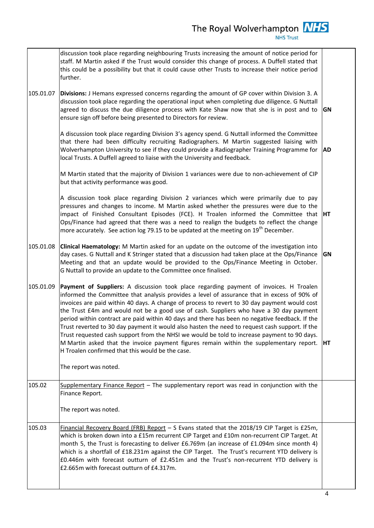**NHS Trust** 

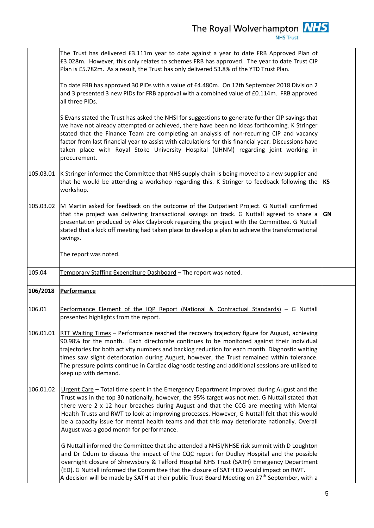|           | The Trust has delivered £3.111m year to date against a year to date FRB Approved Plan of<br>£3.028m. However, this only relates to schemes FRB has approved. The year to date Trust CIP<br>Plan is £5.782m. As a result, the Trust has only delivered 53.8% of the YTD Trust Plan.                                                                                                                                                                                                                                                  |            |
|-----------|-------------------------------------------------------------------------------------------------------------------------------------------------------------------------------------------------------------------------------------------------------------------------------------------------------------------------------------------------------------------------------------------------------------------------------------------------------------------------------------------------------------------------------------|------------|
|           | To date FRB has approved 30 PIDs with a value of £4.480m. On 12th September 2018 Division 2<br>and 3 presented 3 new PIDs for FRB approval with a combined value of £0.114m. FRB approved<br>all three PIDs.                                                                                                                                                                                                                                                                                                                        |            |
|           | S Evans stated the Trust has asked the NHSI for suggestions to generate further CIP savings that<br>we have not already attempted or achieved, there have been no ideas forthcoming. K Stringer<br>stated that the Finance Team are completing an analysis of non-recurring CIP and vacancy<br>factor from last financial year to assist with calculations for this financial year. Discussions have<br>taken place with Royal Stoke University Hospital (UHNM) regarding joint working in<br>procurement.                          |            |
| 105.03.01 | K Stringer informed the Committee that NHS supply chain is being moved to a new supplier and<br>that he would be attending a workshop regarding this. K Stringer to feedback following the<br>workshop.                                                                                                                                                                                                                                                                                                                             | <b>IKS</b> |
| 105.03.02 | M Martin asked for feedback on the outcome of the Outpatient Project. G Nuttall confirmed<br>that the project was delivering transactional savings on track. G Nuttall agreed to share a<br>presentation produced by Alex Claybrook regarding the project with the Committee. G Nuttall<br>stated that a kick off meeting had taken place to develop a plan to achieve the transformational<br>savings.                                                                                                                             | GN         |
|           | The report was noted.                                                                                                                                                                                                                                                                                                                                                                                                                                                                                                               |            |
| 105.04    | Temporary Staffing Expenditure Dashboard - The report was noted.                                                                                                                                                                                                                                                                                                                                                                                                                                                                    |            |
| 106/2018  |                                                                                                                                                                                                                                                                                                                                                                                                                                                                                                                                     |            |
|           | <b>Performance</b>                                                                                                                                                                                                                                                                                                                                                                                                                                                                                                                  |            |
| 106.01    | Performance Element of the IQP Report (National & Contractual Standards) - G Nuttall<br>presented highlights from the report.                                                                                                                                                                                                                                                                                                                                                                                                       |            |
| 106.01.01 | RTT Waiting Times - Performance reached the recovery trajectory figure for August, achieving<br>90.98% for the month. Each directorate continues to be monitored against their individual<br>trajectories for both activity numbers and backlog reduction for each month. Diagnostic waiting<br>times saw slight deterioration during August, however, the Trust remained within tolerance.<br>The pressure points continue in Cardiac diagnostic testing and additional sessions are utilised to<br>keep up with demand.           |            |
| 106.01.02 | Urgent Care - Total time spent in the Emergency Department improved during August and the<br>Trust was in the top 30 nationally, however, the 95% target was not met. G Nuttall stated that<br>there were 2 x 12 hour breaches during August and that the CCG are meeting with Mental<br>Health Trusts and RWT to look at improving processes. However, G Nuttall felt that this would<br>be a capacity issue for mental health teams and that this may deteriorate nationally. Overall<br>August was a good month for performance. |            |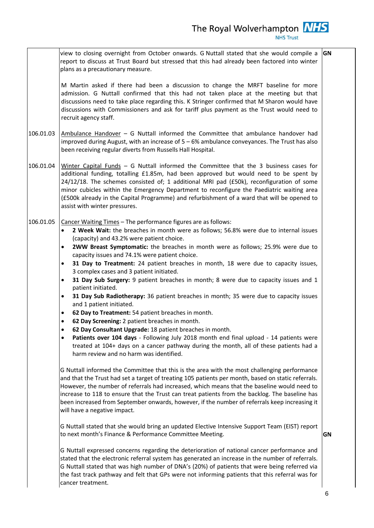| The Royal Wolverhampton <b>NHS</b><br><b>NHS Trust</b>                                                                                                                                                                                                                                                                                                                                           |    |
|--------------------------------------------------------------------------------------------------------------------------------------------------------------------------------------------------------------------------------------------------------------------------------------------------------------------------------------------------------------------------------------------------|----|
| view to closing overnight from October onwards. G Nuttall stated that she would compile a<br>report to discuss at Trust Board but stressed that this had already been factored into winter<br>plans as a precautionary measure.                                                                                                                                                                  | GN |
| M Martin asked if there had been a discussion to change the MRFT baseline for more<br>admission. G Nuttall confirmed that this had not taken place at the meeting but that<br>discussions need to take place regarding this. K Stringer confirmed that M Sharon would have<br>discussions with Commissioners and ask for tariff plus payment as the Trust would need to<br>recruit agency staff. |    |

106.01.03 Ambulance Handover – G Nuttall informed the Committee that ambulance handover had improved during August, with an increase of  $5 - 6%$  ambulance conveyances. The Trust has also been receiving regular diverts from Russells Hall Hospital.

106.01.04 Winter Capital Funds – G Nuttall informed the Committee that the 3 business cases for additional funding, totalling £1.85m, had been approved but would need to be spent by 24/12/18. The schemes consisted of; 1 additional MRI pad (£50k), reconfiguration of some minor cubicles within the Emergency Department to reconfigure the Paediatric waiting area (£500k already in the Capital Programme) and refurbishment of a ward that will be opened to assist with winter pressures.

## 106.01.05 Cancer Waiting Times – The performance figures are as follows:

- **2 Week Wait:** the breaches in month were as follows; 56.8% were due to internal issues (capacity) and 43.2% were patient choice.
- **2WW Breast Symptomatic:** the breaches in month were as follows; 25.9% were due to capacity issues and 74.1% were patient choice.
- **31 Day to Treatment:** 24 patient breaches in month, 18 were due to capacity issues, 3 complex cases and 3 patient initiated.
- **31 Day Sub Surgery:** 9 patient breaches in month; 8 were due to capacity issues and 1 patient initiated.
- **31 Day Sub Radiotherapy:** 36 patient breaches in month; 35 were due to capacity issues and 1 patient initiated.
- **62 Day to Treatment:** 54 patient breaches in month.
- **62 Day Screening:** 2 patient breaches in month.
- **62 Day Consultant Upgrade:** 18 patient breaches in month.
- **Patients over 104 days** Following July 2018 month end final upload 14 patients were treated at 104+ days on a cancer pathway during the month, all of these patients had a harm review and no harm was identified.

G Nuttall informed the Committee that this is the area with the most challenging performance and that the Trust had set a target of treating 105 patients per month, based on static referrals. However, the number of referrals had increased, which means that the baseline would need to increase to 118 to ensure that the Trust can treat patients from the backlog. The baseline has been increased from September onwards, however, if the number of referrals keep increasing it will have a negative impact.

G Nuttall stated that she would bring an updated Elective Intensive Support Team (EIST) report to next month's Finance & Performance Committee Meeting.

**GN**

G Nuttall expressed concerns regarding the deterioration of national cancer performance and stated that the electronic referral system has generated an increase in the number of referrals. G Nuttall stated that was high number of DNA's (20%) of patients that were being referred via the fast track pathway and felt that GPs were not informing patients that this referral was for cancer treatment.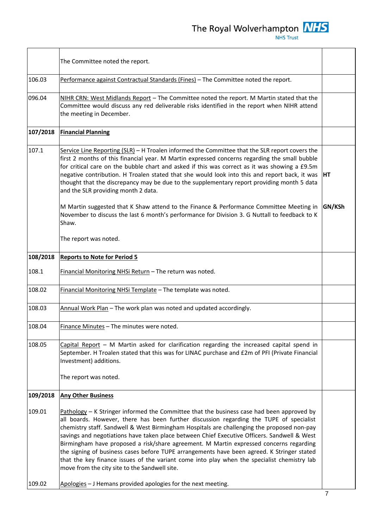The R

| Royal Wolverhampton |
|---------------------|
| <b>NHS Trust</b>    |

**NHS** 

|          | The Committee noted the report.                                                                                                                                                                                                                                                                                                                                                                                                                                                                                                                                                                                                                                                                                             |        |
|----------|-----------------------------------------------------------------------------------------------------------------------------------------------------------------------------------------------------------------------------------------------------------------------------------------------------------------------------------------------------------------------------------------------------------------------------------------------------------------------------------------------------------------------------------------------------------------------------------------------------------------------------------------------------------------------------------------------------------------------------|--------|
| 106.03   | Performance against Contractual Standards (Fines) - The Committee noted the report.                                                                                                                                                                                                                                                                                                                                                                                                                                                                                                                                                                                                                                         |        |
| 096.04   | NIHR CRN: West Midlands Report - The Committee noted the report. M Martin stated that the<br>Committee would discuss any red deliverable risks identified in the report when NIHR attend<br>the meeting in December.                                                                                                                                                                                                                                                                                                                                                                                                                                                                                                        |        |
| 107/2018 | <b>Financial Planning</b>                                                                                                                                                                                                                                                                                                                                                                                                                                                                                                                                                                                                                                                                                                   |        |
| 107.1    | Service Line Reporting (SLR) - H Troalen informed the Committee that the SLR report covers the<br>first 2 months of this financial year. M Martin expressed concerns regarding the small bubble<br>for critical care on the bubble chart and asked if this was correct as it was showing a £9.5m<br>negative contribution. H Troalen stated that she would look into this and report back, it was<br>thought that the discrepancy may be due to the supplementary report providing month 5 data<br>and the SLR providing month 2 data.                                                                                                                                                                                      | HT     |
|          | M Martin suggested that K Shaw attend to the Finance & Performance Committee Meeting in<br>November to discuss the last 6 month's performance for Division 3. G Nuttall to feedback to K<br>Shaw.                                                                                                                                                                                                                                                                                                                                                                                                                                                                                                                           | GN/KSh |
|          | The report was noted.                                                                                                                                                                                                                                                                                                                                                                                                                                                                                                                                                                                                                                                                                                       |        |
| 108/2018 | <b>Reports to Note for Period 5</b>                                                                                                                                                                                                                                                                                                                                                                                                                                                                                                                                                                                                                                                                                         |        |
| 108.1    | Financial Monitoring NHSi Return - The return was noted.                                                                                                                                                                                                                                                                                                                                                                                                                                                                                                                                                                                                                                                                    |        |
| 108.02   | Financial Monitoring NHSi Template - The template was noted.                                                                                                                                                                                                                                                                                                                                                                                                                                                                                                                                                                                                                                                                |        |
| 108.03   | Annual Work Plan - The work plan was noted and updated accordingly.                                                                                                                                                                                                                                                                                                                                                                                                                                                                                                                                                                                                                                                         |        |
| 108.04   | Finance Minutes – The minutes were noted.                                                                                                                                                                                                                                                                                                                                                                                                                                                                                                                                                                                                                                                                                   |        |
| 108.05   | Capital Report - M Martin asked for clarification regarding the increased capital spend in<br>September. H Troalen stated that this was for LINAC purchase and £2m of PFI (Private Financial<br>Investment) additions.<br>The report was noted.                                                                                                                                                                                                                                                                                                                                                                                                                                                                             |        |
| 109/2018 | <b>Any Other Business</b>                                                                                                                                                                                                                                                                                                                                                                                                                                                                                                                                                                                                                                                                                                   |        |
| 109.01   | $Pathology - K Stringer informed the Committee that the business case had been approved by$<br>all boards. However, there has been further discussion regarding the TUPE of specialist<br>chemistry staff. Sandwell & West Birmingham Hospitals are challenging the proposed non-pay<br>savings and negotiations have taken place between Chief Executive Officers. Sandwell & West<br>Birmingham have proposed a risk/share agreement. M Martin expressed concerns regarding<br>the signing of business cases before TUPE arrangements have been agreed. K Stringer stated<br>that the key finance issues of the variant come into play when the specialist chemistry lab<br>move from the city site to the Sandwell site. |        |
| 109.02   | Apologies - J Hemans provided apologies for the next meeting.                                                                                                                                                                                                                                                                                                                                                                                                                                                                                                                                                                                                                                                               |        |